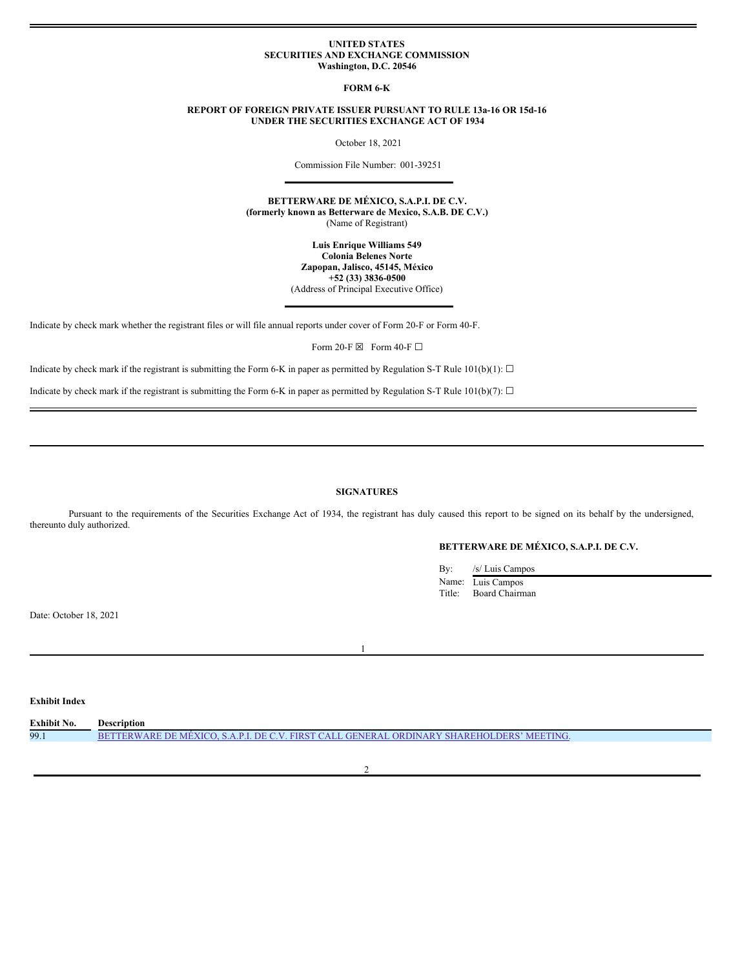#### **UNITED STATES SECURITIES AND EXCHANGE COMMISSION Washington, D.C. 20546**

**FORM 6-K**

## **REPORT OF FOREIGN PRIVATE ISSUER PURSUANT TO RULE 13a-16 OR 15d-16 UNDER THE SECURITIES EXCHANGE ACT OF 1934**

October 18, 2021

Commission File Number: 001-39251

**BETTERWARE DE MÉXICO, S.A.P.I. DE C.V. (formerly known as Betterware de Mexico, S.A.B. DE C.V.)** (Name of Registrant)

> **Luis Enrique Williams 549 Colonia Belenes Norte Zapopan, Jalisco, 45145, México +52 (33) 3836-0500** (Address of Principal Executive Office)

Indicate by check mark whether the registrant files or will file annual reports under cover of Form 20-F or Form 40-F.

Form 20-F  $\boxtimes$  Form 40-F  $\Box$ 

Indicate by check mark if the registrant is submitting the Form 6-K in paper as permitted by Regulation S-T Rule 101(b)(1):  $\Box$ 

Indicate by check mark if the registrant is submitting the Form 6-K in paper as permitted by Regulation S-T Rule 101(b)(7):  $\Box$ 

# **SIGNATURES**

Pursuant to the requirements of the Securities Exchange Act of 1934, the registrant has duly caused this report to be signed on its behalf by the undersigned, thereunto duly authorized.

## **BETTERWARE DE MÉXICO, S.A.P.I. DE C.V.**

By: /s/ Luis Campos Name: Luis Campos Title: Board Chairman

Date: October 18, 2021

**Exhibit Index**

| <b>Exhibit No.</b> | Description                                                                               |
|--------------------|-------------------------------------------------------------------------------------------|
| 99.1               | BETTERWARE DE MEXICO, S.A.P.I. DE C.V. FIRST CALL GENERAL ORDINARY SHAREHOLDERS' MEETING. |
|                    |                                                                                           |

 $\overline{2}$ 

1